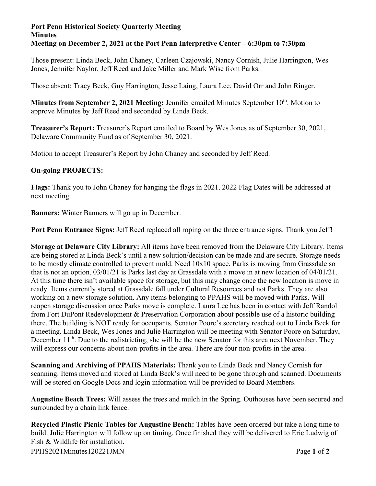#### **Port Penn Historical Society Quarterly Meeting Minutes Meeting on December 2, 2021 at the Port Penn Interpretive Center – 6:30pm to 7:30pm**

Those present: Linda Beck, John Chaney, Carleen Czajowski, Nancy Cornish, Julie Harrington, Wes Jones, Jennifer Naylor, Jeff Reed and Jake Miller and Mark Wise from Parks.

Those absent: Tracy Beck, Guy Harrington, Jesse Laing, Laura Lee, David Orr and John Ringer.

**Minutes from September 2, 2021 Meeting:** Jennifer emailed Minutes September 10<sup>th</sup>. Motion to approve Minutes by Jeff Reed and seconded by Linda Beck.

**Treasurer's Report:** Treasurer's Report emailed to Board by Wes Jones as of September 30, 2021, Delaware Community Fund as of September 30, 2021.

Motion to accept Treasurer's Report by John Chaney and seconded by Jeff Reed.

### **On-going PROJECTS:**

**Flags:** Thank you to John Chaney for hanging the flags in 2021. 2022 Flag Dates will be addressed at next meeting.

**Banners:** Winter Banners will go up in December.

**Port Penn Entrance Signs:** Jeff Reed replaced all roping on the three entrance signs. Thank you Jeff!

**Storage at Delaware City Library:** All items have been removed from the Delaware City Library. Items are being stored at Linda Beck's until a new solution/decision can be made and are secure. Storage needs to be mostly climate controlled to prevent mold. Need 10x10 space. Parks is moving from Grassdale so that is not an option. 03/01/21 is Parks last day at Grassdale with a move in at new location of 04/01/21. At this time there isn't available space for storage, but this may change once the new location is move in ready. Items currently stored at Grassdale fall under Cultural Resources and not Parks. They are also working on a new storage solution. Any items belonging to PPAHS will be moved with Parks. Will reopen storage discussion once Parks move is complete. Laura Lee has been in contact with Jeff Randol from Fort DuPont Redevelopment & Preservation Corporation about possible use of a historic building there. The building is NOT ready for occupants. Senator Poore's secretary reached out to Linda Beck for a meeting. Linda Beck, Wes Jones and Julie Harrington will be meeting with Senator Poore on Saturday, December  $11<sup>th</sup>$ . Due to the redistricting, she will be the new Senator for this area next November. They will express our concerns about non-profits in the area. There are four non-profits in the area.

**Scanning and Archiving of PPAHS Materials:** Thank you to Linda Beck and Nancy Cornish for scanning. Items moved and stored at Linda Beck's will need to be gone through and scanned. Documents will be stored on Google Docs and login information will be provided to Board Members.

**Augustine Beach Trees:** Will assess the trees and mulch in the Spring. Outhouses have been secured and surrounded by a chain link fence.

PPHS2021Minutes120221JMN Page **1** of **2 Recycled Plastic Picnic Tables for Augustine Beach:** Tables have been ordered but take a long time to build. Julie Harrington will follow up on timing. Once finished they will be delivered to Eric Ludwig of Fish & Wildlife for installation.